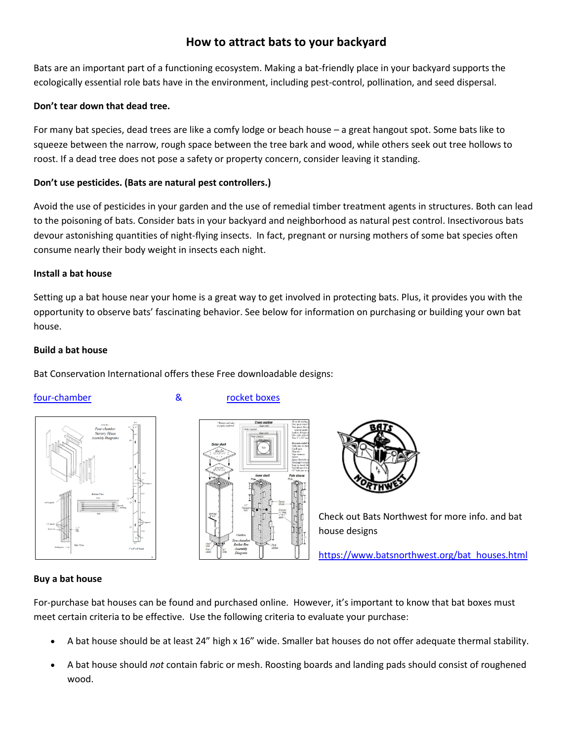# **How to attract bats to your backyard**

Bats are an important part of a functioning ecosystem. Making a bat-friendly place in your backyard supports the ecologically essential role bats have in the environment, including pest-control, pollination, and seed dispersal.

# **Don't tear down that dead tree.**

For many bat species, dead trees are like a comfy lodge or beach house – a great hangout spot. Some bats like to squeeze between the narrow, rough space between the tree bark and wood, while others seek out tree hollows to roost. If a dead tree does not pose a safety or property concern, consider leaving it standing.

# **Don't use pesticides. (Bats are natural pest controllers.)**

Avoid the use of pesticides in your garden and the use of remedial timber treatment agents in structures. Both can lead to the poisoning of bats. Consider bats in your backyard and neighborhood as natural pest control. Insectivorous bats devour astonishing quantities of night-flying insects. In fact, pregnant or nursing mothers of some bat species often consume nearly their body weight in insects each night.

# **Install a bat house**

Setting up a bat house near your home is a great way to get involved in protecting bats. Plus, it provides you with the opportunity to observe bats' fascinating behavior. See below for information on purchasing or building your own bat house.

## **Build a bat house**

Bat Conservation International offers these Free downloadable designs:

# [four-chamber & rocket boxes](https://www.skagitcd.org/_files/ugd/33609c_1ad6e7159fad4b15afb1eb6d744cebb9.pdf)







Check out Bats Northwest for more info. and bat house designs

[https://www.batsnorthwest.org/bat\\_houses.html](https://www.batsnorthwest.org/bat_houses.html)

# **Buy a bat house**

For-purchase bat houses can be found and purchased online. However, it's important to know that bat boxes must meet certain criteria to be effective. Use the following criteria to evaluate your purchase:

- A bat house should be at least 24" high x 16" wide. Smaller bat houses do not offer adequate thermal stability.
- A bat house should *not* contain fabric or mesh. Roosting boards and landing pads should consist of roughened wood.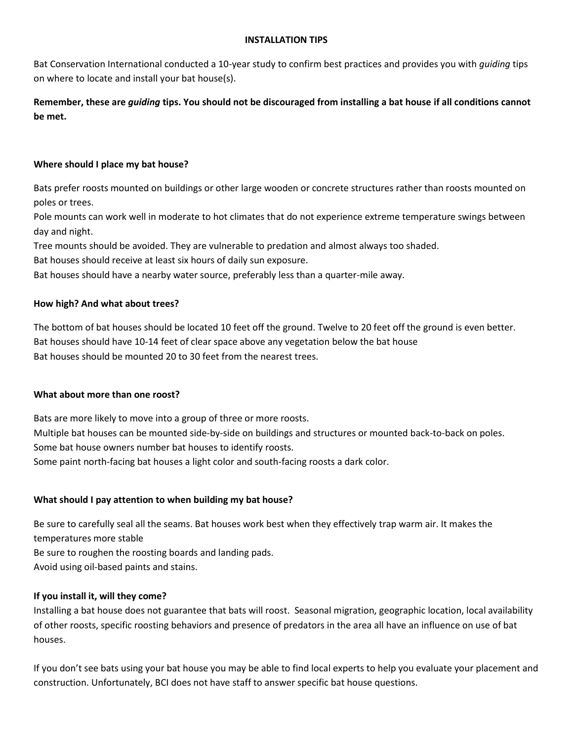#### **INSTALLATION TIPS**

Bat Conservation International conducted a 10-year study to confirm best practices and provides you with *guiding* tips on where to locate and install your bat house(s).

**Remember, these are** *guiding* **tips. You should not be discouraged from installing a bat house if all conditions cannot be met.**

## **Where should I place my bat house?**

Bats prefer roosts mounted on buildings or other large wooden or concrete structures rather than roosts mounted on poles or trees.

Pole mounts can work well in moderate to hot climates that do not experience extreme temperature swings between day and night.

Tree mounts should be avoided. They are vulnerable to predation and almost always too shaded.

Bat houses should receive at least six hours of daily sun exposure.

Bat houses should have a nearby water source, preferably less than a quarter-mile away.

## **How high? And what about trees?**

The bottom of bat houses should be located 10 feet off the ground. Twelve to 20 feet off the ground is even better. Bat houses should have 10-14 feet of clear space above any vegetation below the bat house Bat houses should be mounted 20 to 30 feet from the nearest trees.

#### **What about more than one roost?**

Bats are more likely to move into a group of three or more roosts. Multiple bat houses can be mounted side-by-side on buildings and structures or mounted back-to-back on poles. Some bat house owners number bat houses to identify roosts. Some paint north-facing bat houses a light color and south-facing roosts a dark color.

# **What should I pay attention to when building my bat house?**

Be sure to carefully seal all the seams. Bat houses work best when they effectively trap warm air. It makes the temperatures more stable

Be sure to roughen the roosting boards and landing pads.

Avoid using oil-based paints and stains.

#### **If you install it, will they come?**

Installing a bat house does not guarantee that bats will roost. Seasonal migration, geographic location, local availability of other roosts, specific roosting behaviors and presence of predators in the area all have an influence on use of bat houses.

If you don't see bats using your bat house you may be able to find local experts to help you evaluate your placement and construction. Unfortunately, BCI does not have staff to answer specific bat house questions.